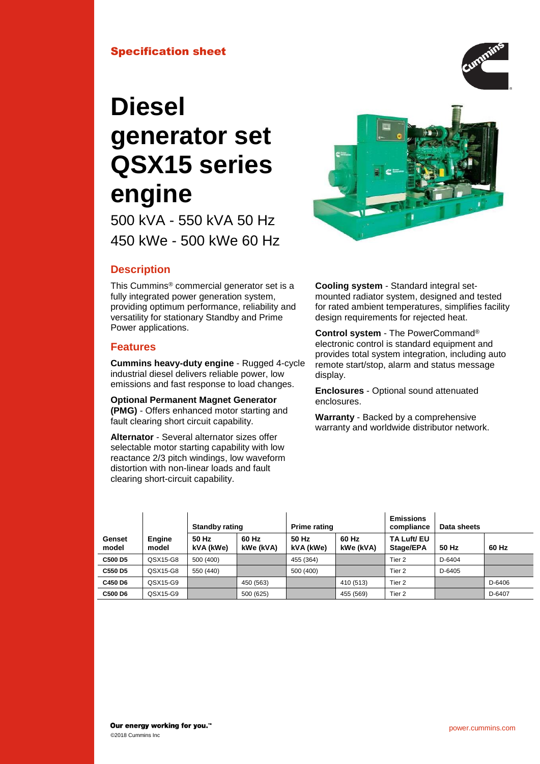## Specification sheet

# **Diesel generator set QSX15 series engine**

500 kVA - 550 kVA 50 Hz 450 kWe - 500 kWe 60 Hz



# **Description**

This Cummins® commercial generator set is a fully integrated power generation system, providing optimum performance, reliability and versatility for stationary Standby and Prime Power applications.

## **Features**

**Cummins heavy-duty engine** - Rugged 4-cycle industrial diesel delivers reliable power, low emissions and fast response to load changes.

**Optional Permanent Magnet Generator (PMG)** - Offers enhanced motor starting and fault clearing short circuit capability.

**Alternator** - Several alternator sizes offer selectable motor starting capability with low reactance 2/3 pitch windings, low waveform distortion with non-linear loads and fault clearing short-circuit capability.

**Cooling system** - Standard integral setmounted radiator system, designed and tested for rated ambient temperatures, simplifies facility design requirements for rejected heat.

**Control system** - The PowerCommand® electronic control is standard equipment and provides total system integration, including auto remote start/stop, alarm and status message display.

**Enclosures** - Optional sound attenuated enclosures.

**Warranty** - Backed by a comprehensive warranty and worldwide distributor network.

|                 |                        |                    | <b>Prime rating</b><br><b>Standby rating</b> |                    | <b>Emissions</b><br>compliance | Data sheets              |        |        |
|-----------------|------------------------|--------------------|----------------------------------------------|--------------------|--------------------------------|--------------------------|--------|--------|
| Genset<br>model | <b>Engine</b><br>model | 50 Hz<br>kVA (kWe) | 60 Hz<br>kWe (kVA)                           | 50 Hz<br>kVA (kWe) | 60 Hz<br>kWe (kVA)             | TA Luft/ EU<br>Stage/EPA | 50 Hz  | 60 Hz  |
| C500 D5         | QSX15-G8               | 500 (400)          |                                              | 455 (364)          |                                | Tier 2                   | D-6404 |        |
| C550 D5         | QSX15-G8               | 550 (440)          |                                              | 500 (400)          |                                | Tier 2                   | D-6405 |        |
| C450 D6         | QSX15-G9               |                    | 450 (563)                                    |                    | 410 (513)                      | Tier 2                   |        | D-6406 |
| C500 D6         | QSX15-G9               |                    | 500 (625)                                    |                    | 455 (569)                      | Tier 2                   |        | D-6407 |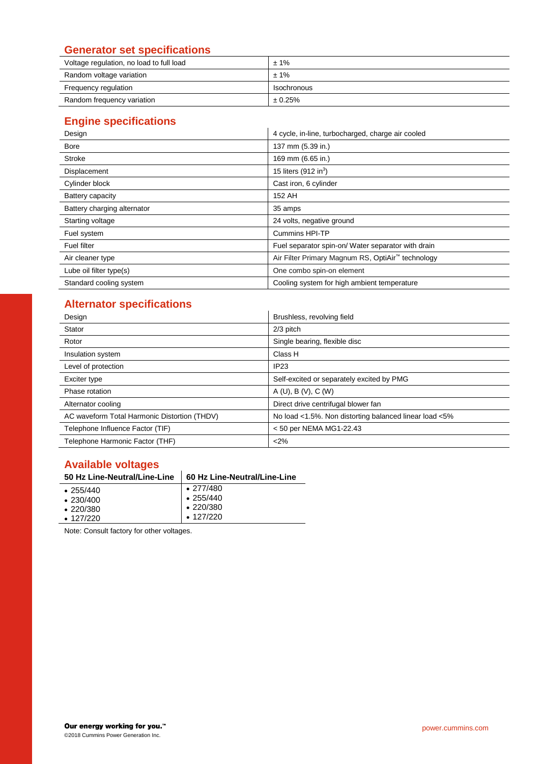# **Generator set specifications**

| Voltage regulation, no load to full load | $±1\%$      |
|------------------------------------------|-------------|
| Random voltage variation                 | ± 1%        |
| Frequency regulation                     | Isochronous |
| Random frequency variation               | ± 0.25%     |

# **Engine specifications**

| Design                      | 4 cycle, in-line, turbocharged, charge air cooled  |  |  |
|-----------------------------|----------------------------------------------------|--|--|
| <b>Bore</b>                 | 137 mm (5.39 in.)                                  |  |  |
| Stroke                      | 169 mm (6.65 in.)                                  |  |  |
| Displacement                | 15 liters $(912 \text{ in}^3)$                     |  |  |
| Cylinder block              | Cast iron, 6 cylinder                              |  |  |
| Battery capacity            | 152 AH                                             |  |  |
| Battery charging alternator | 35 amps                                            |  |  |
| Starting voltage            | 24 volts, negative ground                          |  |  |
| Fuel system                 | <b>Cummins HPI-TP</b>                              |  |  |
| <b>Fuel filter</b>          | Fuel separator spin-on/ Water separator with drain |  |  |
| Air cleaner type            | Air Filter Primary Magnum RS, OptiAir™ technology  |  |  |
| Lube oil filter type(s)     | One combo spin-on element                          |  |  |
| Standard cooling system     | Cooling system for high ambient temperature        |  |  |

# **Alternator specifications**

| Design                                       | Brushless, revolving field                             |  |  |  |
|----------------------------------------------|--------------------------------------------------------|--|--|--|
| Stator                                       | $2/3$ pitch                                            |  |  |  |
| Rotor                                        | Single bearing, flexible disc                          |  |  |  |
| Insulation system                            | Class H                                                |  |  |  |
| Level of protection                          | IP <sub>23</sub>                                       |  |  |  |
| Exciter type                                 | Self-excited or separately excited by PMG              |  |  |  |
| Phase rotation                               | A (U), B (V), C (W)                                    |  |  |  |
| Alternator cooling                           | Direct drive centrifugal blower fan                    |  |  |  |
| AC waveform Total Harmonic Distortion (THDV) | No load <1.5%. Non distorting balanced linear load <5% |  |  |  |
| Telephone Influence Factor (TIF)             | < 50 per NEMA MG1-22.43                                |  |  |  |
| Telephone Harmonic Factor (THF)              | <2%                                                    |  |  |  |

# **Available voltages**

# **50 Hz Line-Neutral/Line-Line 60 Hz Line-Neutral/Line-Line**

| $\cdot$ 255/440 | $\cdot$ 277/480 |
|-----------------|-----------------|
| $\cdot$ 230/400 | $\cdot$ 255/440 |
| $\cdot$ 220/380 | $\cdot$ 220/380 |
| $\cdot$ 127/220 | $\cdot$ 127/220 |
|                 |                 |

Note: Consult factory for other voltages.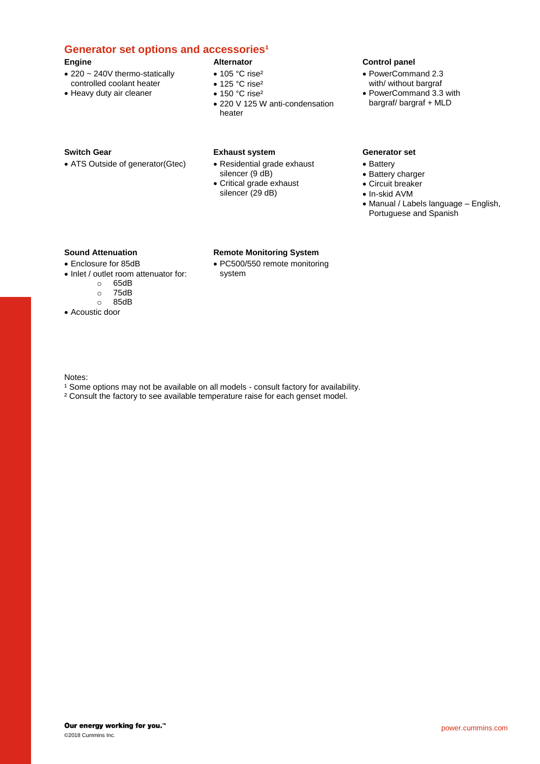## **Generator set options and accessories<sup>1</sup>**

#### **Engine**

- 220 ~ 240V thermo-statically controlled coolant heater
- Heavy duty air cleaner

#### **Alternator** • 105 °C rise<sup>2</sup>

- $\bullet$  125 °C rise<sup>2</sup>
- 150 °C rise<sup>2</sup>
- 220 V 125 W anti-condensation heater

#### **Switch Gear**

• ATS Outside of generator(Gtec)

#### **Exhaust system**

system

• Residential grade exhaust silencer (9 dB)

**Remote Monitoring System** • PC500/550 remote monitoring

• Critical grade exhaust silencer (29 dB)

## **Control panel**

- PowerCommand 2.3 with/ without bargraf
- PowerCommand 3.3 with bargraf/ bargraf + MLD

#### **Generator set**

- Battery
- Battery charger
- Circuit breaker
- In-skid AVM
- Manual / Labels language English, Portuguese and Spanish

#### **Sound Attenuation**

## • Enclosure for 85dB

- Inlet / outlet room attenuator for:
	- o 65dB
	- 75dB
	- o 85dB
- Acoustic door

#### Notes:

- <sup>1</sup> Some options may not be available on all models consult factory for availability.
- ² Consult the factory to see available temperature raise for each genset model.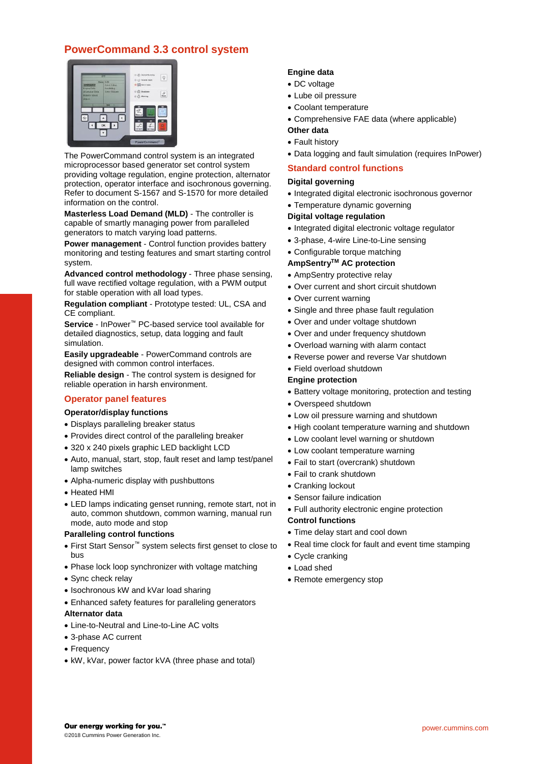# **PowerCommand 3.3 control system**

|                                                                    | πm                                      | (2) Genet Koneng<br>疫<br>(b) (1) Flaments Start |
|--------------------------------------------------------------------|-----------------------------------------|-------------------------------------------------|
| <b>FRITTAUELE</b>                                                  | <b>Highs IT/D</b><br><b>Vasic Setas</b> | O ED Net in Auto                                |
| <b>Erophie Ilaki</b><br>Allersativ Bola<br>Huters-About.<br>Adicit | Pauluky<br><b>Have Textore</b>          | 0 Q Button<br>$\frac{2}{3}$<br>(i) (i) Watting  |
|                                                                    | m                                       |                                                 |
|                                                                    |                                         |                                                 |
| 0                                                                  | ¢<br>OK                                 |                                                 |
|                                                                    |                                         |                                                 |

The PowerCommand control system is an integrated microprocessor based generator set control system providing voltage regulation, engine protection, alternator protection, operator interface and isochronous governing. Refer to document S-1567 and S-1570 for more detailed information on the control.

**Masterless Load Demand (MLD)** - The controller is capable of smartly managing power from paralleled generators to match varying load patterns.

**Power management** - Control function provides battery monitoring and testing features and smart starting control system.

**Advanced control methodology** - Three phase sensing, full wave rectified voltage regulation, with a PWM output for stable operation with all load types.

**Regulation compliant** - Prototype tested: UL, CSA and CE compliant.

**Service** - InPower™ PC-based service tool available for detailed diagnostics, setup, data logging and fault simulation.

**Easily upgradeable** - PowerCommand controls are designed with common control interfaces.

**Reliable design** - The control system is designed for reliable operation in harsh environment.

## **Operator panel features**

#### **Operator/display functions**

- Displays paralleling breaker status
- Provides direct control of the paralleling breaker
- 320 x 240 pixels graphic LED backlight LCD
- Auto, manual, start, stop, fault reset and lamp test/panel lamp switches
- Alpha-numeric display with pushbuttons
- Heated HMI
- LED lamps indicating genset running, remote start, not in auto, common shutdown, common warning, manual run mode, auto mode and stop

#### **Paralleling control functions**

- First Start Sensor™ system selects first genset to close to bus
- Phase lock loop synchronizer with voltage matching
- Sync check relay
- Isochronous kW and kVar load sharing
- Enhanced safety features for paralleling generators

#### **Alternator data**

- Line-to-Neutral and Line-to-Line AC volts
- 3-phase AC current
- Frequency
- kW, kVar, power factor kVA (three phase and total)

#### **Engine data**

- DC voltage
- Lube oil pressure
- Coolant temperature
- Comprehensive FAE data (where applicable)

#### **Other data**

- Fault history
- Data logging and fault simulation (requires InPower)

### **Standard control functions**

#### **Digital governing**

- Integrated digital electronic isochronous governor
- Temperature dynamic governing

#### **Digital voltage regulation**

- Integrated digital electronic voltage regulator
- 3-phase, 4-wire Line-to-Line sensing
- Configurable torque matching

#### **AmpSentryTM AC protection**

- AmpSentry protective relay
- Over current and short circuit shutdown
- Over current warning
- Single and three phase fault regulation
- Over and under voltage shutdown
- Over and under frequency shutdown
- Overload warning with alarm contact
- Reverse power and reverse Var shutdown
- Field overload shutdown

#### **Engine protection**

- Battery voltage monitoring, protection and testing
- Overspeed shutdown
- Low oil pressure warning and shutdown
- High coolant temperature warning and shutdown
- Low coolant level warning or shutdown
- Low coolant temperature warning
- Fail to start (overcrank) shutdown
- Fail to crank shutdown
- Cranking lockout
- Sensor failure indication
- Full authority electronic engine protection

#### **Control functions**

- Time delay start and cool down
- Real time clock for fault and event time stamping
- Cycle cranking
- Load shed
- Remote emergency stop